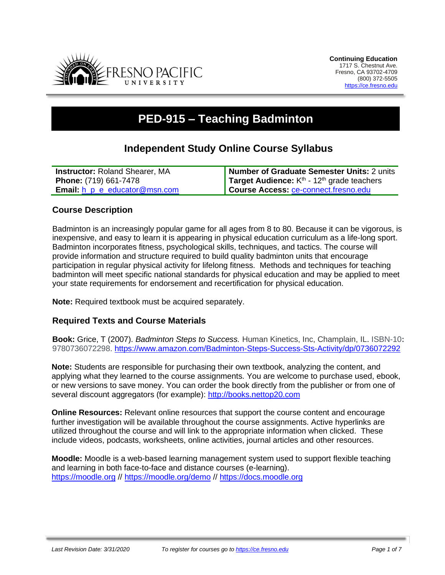

# **PED-915 – Teaching Badminton**

# **Independent Study Online Course Syllabus**

| <b>Instructor: Roland Shearer, MA</b>       | Number of Graduate Semester Units: 2 units               |
|---------------------------------------------|----------------------------------------------------------|
| <b>Phone:</b> (719) 661-7478                | Target Audience: $Kth$ - 12 <sup>th</sup> grade teachers |
| <b>Email:</b> $h$ $p$ $e$ educator @msn.com | Course Access: ce-connect.fresno.edu                     |

# **Course Description**

Badminton is an increasingly popular game for all ages from 8 to 80. Because it can be vigorous, is inexpensive, and easy to learn it is appearing in physical education curriculum as a life-long sport. Badminton incorporates fitness, psychological skills, techniques, and tactics. The course will provide information and structure required to build quality badminton units that encourage participation in regular physical activity for lifelong fitness. Methods and techniques for teaching badminton will meet specific national standards for physical education and may be applied to meet your state requirements for endorsement and recertification for physical education.

**Note:** Required textbook must be acquired separately.

# **Required Texts and Course Materials**

**Book:** Grice, T (2007). *Badminton Steps to Success.* Human Kinetics, Inc, Champlain, IL. ISBN-10**:** 9780736072298.<https://www.amazon.com/Badminton-Steps-Success-Sts-Activity/dp/0736072292>

**Note:** Students are responsible for purchasing their own textbook, analyzing the content, and applying what they learned to the course assignments. You are welcome to purchase used, ebook, or new versions to save money. You can order the book directly from the publisher or from one of several discount aggregators (for example): [http://books.nettop20.com](http://books.nettop20.com/)

**Online Resources:** Relevant online resources that support the course content and encourage further investigation will be available throughout the course assignments. Active hyperlinks are utilized throughout the course and will link to the appropriate information when clicked. These include videos, podcasts, worksheets, online activities, journal articles and other resources.

**Moodle:** Moodle is a web-based learning management system used to support flexible teaching and learning in both face-to-face and distance courses (e-learning). [https://moodle.org](https://moodle.org/) // <https://moodle.org/demo> // [https://docs.moodle.org](https://docs.moodle.org/)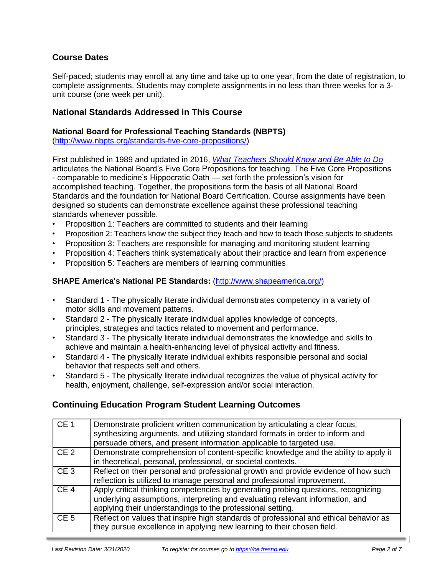# **Course Dates**

Self-paced; students may enroll at any time and take up to one year, from the date of registration, to complete assignments. Students may complete assignments in no less than three weeks for a 3 unit course (one week per unit).

### **National Standards Addressed in This Course**

#### **National Board for Professional Teaching Standards (NBPTS)**

[\(http://www.nbpts.org/standards-five-core-propositions/\)](http://www.nbpts.org/standards-five-core-propositions/)

First published in 1989 and updated in 2016, *[What Teachers Should Know and Be Able to Do](http://www.accomplishedteacher.org/)* articulates the National Board's Five Core Propositions for teaching. The Five Core Propositions - comparable to medicine's Hippocratic Oath — set forth the profession's vision for accomplished teaching. Together, the propositions form the basis of all National Board Standards and the foundation for National Board Certification. Course assignments have been designed so students can demonstrate excellence against these professional teaching standards whenever possible.

- Proposition 1: Teachers are committed to students and their learning
- Proposition 2: Teachers know the subject they teach and how to teach those subjects to students
- Proposition 3: Teachers are responsible for managing and monitoring student learning
- Proposition 4: Teachers think systematically about their practice and learn from experience
- Proposition 5: Teachers are members of learning communities

#### **SHAPE America's National PE Standards:** [\(http://www.shapeamerica.org/\)](http://www.shapeamerica.org/)

- Standard 1 The physically literate individual demonstrates competency in a variety of motor skills and movement patterns.
- Standard 2 The physically literate individual applies knowledge of concepts, principles, strategies and tactics related to movement and performance.
- Standard 3 The physically literate individual demonstrates the knowledge and skills to achieve and maintain a health-enhancing level of physical activity and fitness.
- Standard 4 The physically literate individual exhibits responsible personal and social behavior that respects self and others.
- Standard 5 The physically literate individual recognizes the value of physical activity for health, enjoyment, challenge, self-expression and/or social interaction.

# **Continuing Education Program Student Learning Outcomes**

| CE <sub>1</sub> | Demonstrate proficient written communication by articulating a clear focus,<br>synthesizing arguments, and utilizing standard formats in order to inform and<br>persuade others, and present information applicable to targeted use. |
|-----------------|--------------------------------------------------------------------------------------------------------------------------------------------------------------------------------------------------------------------------------------|
| CE <sub>2</sub> | Demonstrate comprehension of content-specific knowledge and the ability to apply it<br>in theoretical, personal, professional, or societal contexts.                                                                                 |
| CE <sub>3</sub> | Reflect on their personal and professional growth and provide evidence of how such<br>reflection is utilized to manage personal and professional improvement.                                                                        |
| CE <sub>4</sub> | Apply critical thinking competencies by generating probing questions, recognizing<br>underlying assumptions, interpreting and evaluating relevant information, and<br>applying their understandings to the professional setting.     |
| CE <sub>5</sub> | Reflect on values that inspire high standards of professional and ethical behavior as<br>they pursue excellence in applying new learning to their chosen field.                                                                      |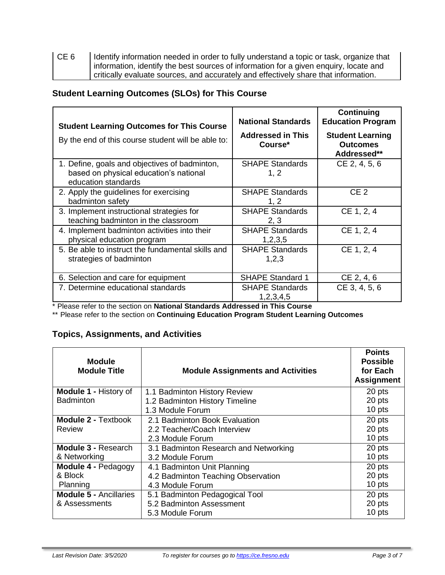| CE <sub>6</sub> | I dentify information needed in order to fully understand a topic or task, organize that |
|-----------------|------------------------------------------------------------------------------------------|
|                 | I information, identify the best sources of information for a given enquiry, locate and  |
|                 | critically evaluate sources, and accurately and effectively share that information.      |

# **Student Learning Outcomes (SLOs) for This Course**

| <b>Student Learning Outcomes for This Course</b><br>By the end of this course student will be able to:         | <b>National Standards</b><br><b>Addressed in This</b><br>Course* | Continuing<br><b>Education Program</b><br><b>Student Learning</b><br><b>Outcomes</b><br>Addressed** |
|----------------------------------------------------------------------------------------------------------------|------------------------------------------------------------------|-----------------------------------------------------------------------------------------------------|
| 1. Define, goals and objectives of badminton,<br>based on physical education's national<br>education standards | <b>SHAPE Standards</b><br>1, 2                                   | CE 2, 4, 5, 6                                                                                       |
| 2. Apply the guidelines for exercising<br>badminton safety                                                     | <b>SHAPE Standards</b><br>1, 2                                   | CE <sub>2</sub>                                                                                     |
| 3. Implement instructional strategies for<br>teaching badminton in the classroom                               | <b>SHAPE Standards</b><br>2, 3                                   | CE 1, 2, 4                                                                                          |
| 4. Implement badminton activities into their<br>physical education program                                     | <b>SHAPE Standards</b><br>1,2,3,5                                | CE 1, 2, 4                                                                                          |
| 5. Be able to instruct the fundamental skills and<br>strategies of badminton                                   | <b>SHAPE Standards</b><br>1,2,3                                  | CE 1, 2, 4                                                                                          |
| 6. Selection and care for equipment                                                                            | <b>SHAPE Standard 1</b>                                          | CE 2, 4, 6                                                                                          |
| 7. Determine educational standards                                                                             | <b>SHAPE Standards</b><br>1,2,3,4,5                              | CE 3, 4, 5, 6                                                                                       |

\* Please refer to the section on **National Standards Addressed in This Course**

\*\* Please refer to the section on **Continuing Education Program Student Learning Outcomes**

# **Topics, Assignments, and Activities**

| <b>Module</b><br><b>Module Title</b> | <b>Module Assignments and Activities</b> | <b>Points</b><br><b>Possible</b><br>for Each<br><b>Assignment</b> |
|--------------------------------------|------------------------------------------|-------------------------------------------------------------------|
| <b>Module 1 - History of</b>         | 1.1 Badminton History Review             | 20 pts                                                            |
| <b>Badminton</b>                     | 1.2 Badminton History Timeline           | 20 pts                                                            |
|                                      | 1.3 Module Forum                         | 10 pts                                                            |
| <b>Module 2 - Textbook</b>           | 2.1 Badminton Book Evaluation            | 20 pts                                                            |
| Review                               | 2.2 Teacher/Coach Interview              | 20 pts                                                            |
|                                      | 2.3 Module Forum                         | 10 pts                                                            |
| Module 3 - Research                  | 3.1 Badminton Research and Networking    | 20 pts                                                            |
| & Networking                         | 3.2 Module Forum                         | 10 pts                                                            |
| Module 4 - Pedagogy                  | 4.1 Badminton Unit Planning              | 20 pts                                                            |
| & Block                              | 4.2 Badminton Teaching Observation       | 20 pts                                                            |
| Planning                             | 4.3 Module Forum                         | 10 pts                                                            |
| <b>Module 5 - Ancillaries</b>        | 5.1 Badminton Pedagogical Tool           | 20 pts                                                            |
| & Assessments                        | 5.2 Badminton Assessment                 | 20 pts                                                            |
|                                      | 5.3 Module Forum                         | 10 pts                                                            |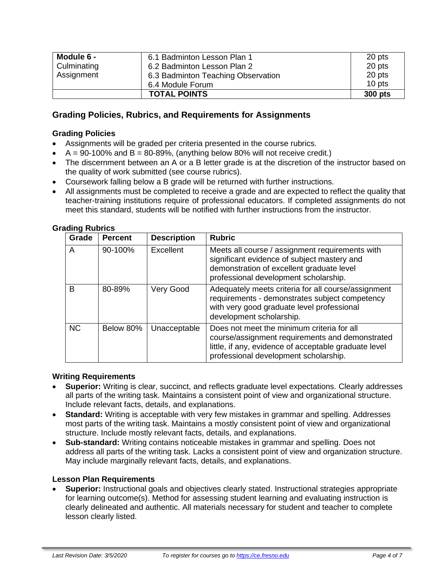| Module 6 -  | 6.1 Badminton Lesson Plan 1        | 20 pts  |
|-------------|------------------------------------|---------|
| Culminating | 6.2 Badminton Lesson Plan 2        | 20 pts  |
| Assignment  | 6.3 Badminton Teaching Observation | 20 pts  |
|             | 6.4 Module Forum                   | 10 pts  |
|             | <b>TOTAL POINTS</b>                | 300 pts |

# **Grading Policies, Rubrics, and Requirements for Assignments**

#### **Grading Policies**

- Assignments will be graded per criteria presented in the course rubrics.
- $\bullet$  A = 90-100% and B = 80-89%, (anything below 80% will not receive credit.)
- The discernment between an A or a B letter grade is at the discretion of the instructor based on the quality of work submitted (see course rubrics).
- Coursework falling below a B grade will be returned with further instructions.
- All assignments must be completed to receive a grade and are expected to reflect the quality that teacher-training institutions require of professional educators. If completed assignments do not meet this standard, students will be notified with further instructions from the instructor.

| Grade     | <b>Percent</b> | <b>Description</b> | <b>Rubric</b>                                                                                                                                                                                   |
|-----------|----------------|--------------------|-------------------------------------------------------------------------------------------------------------------------------------------------------------------------------------------------|
| A         | 90-100%        | Excellent          | Meets all course / assignment requirements with<br>significant evidence of subject mastery and<br>demonstration of excellent graduate level<br>professional development scholarship.            |
| B         | 80-89%         | Very Good          | Adequately meets criteria for all course/assignment<br>requirements - demonstrates subject competency<br>with very good graduate level professional<br>development scholarship.                 |
| <b>NC</b> | Below 80%      | Unacceptable       | Does not meet the minimum criteria for all<br>course/assignment requirements and demonstrated<br>little, if any, evidence of acceptable graduate level<br>professional development scholarship. |

# **Grading Rubrics**

#### **Writing Requirements**

- **Superior:** Writing is clear, succinct, and reflects graduate level expectations. Clearly addresses all parts of the writing task. Maintains a consistent point of view and organizational structure. Include relevant facts, details, and explanations.
- **Standard:** Writing is acceptable with very few mistakes in grammar and spelling. Addresses most parts of the writing task. Maintains a mostly consistent point of view and organizational structure. Include mostly relevant facts, details, and explanations.
- **Sub-standard:** Writing contains noticeable mistakes in grammar and spelling. Does not address all parts of the writing task. Lacks a consistent point of view and organization structure. May include marginally relevant facts, details, and explanations.

#### **Lesson Plan Requirements**

• **Superior:** Instructional goals and objectives clearly stated. Instructional strategies appropriate for learning outcome(s). Method for assessing student learning and evaluating instruction is clearly delineated and authentic. All materials necessary for student and teacher to complete lesson clearly listed.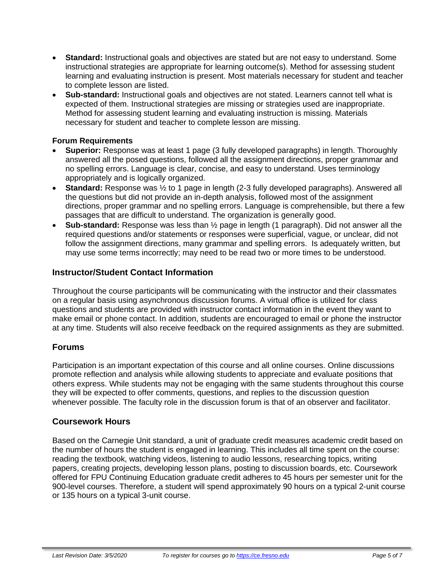- **Standard:** Instructional goals and objectives are stated but are not easy to understand. Some instructional strategies are appropriate for learning outcome(s). Method for assessing student learning and evaluating instruction is present. Most materials necessary for student and teacher to complete lesson are listed.
- **Sub-standard:** Instructional goals and objectives are not stated. Learners cannot tell what is expected of them. Instructional strategies are missing or strategies used are inappropriate. Method for assessing student learning and evaluating instruction is missing. Materials necessary for student and teacher to complete lesson are missing.

#### **Forum Requirements**

- **Superior:** Response was at least 1 page (3 fully developed paragraphs) in length. Thoroughly answered all the posed questions, followed all the assignment directions, proper grammar and no spelling errors. Language is clear, concise, and easy to understand. Uses terminology appropriately and is logically organized.
- **Standard:** Response was ½ to 1 page in length (2-3 fully developed paragraphs). Answered all the questions but did not provide an in-depth analysis, followed most of the assignment directions, proper grammar and no spelling errors. Language is comprehensible, but there a few passages that are difficult to understand. The organization is generally good.
- **Sub-standard:** Response was less than ½ page in length (1 paragraph). Did not answer all the required questions and/or statements or responses were superficial, vague, or unclear, did not follow the assignment directions, many grammar and spelling errors. Is adequately written, but may use some terms incorrectly; may need to be read two or more times to be understood.

# **Instructor/Student Contact Information**

Throughout the course participants will be communicating with the instructor and their classmates on a regular basis using asynchronous discussion forums. A virtual office is utilized for class questions and students are provided with instructor contact information in the event they want to make email or phone contact. In addition, students are encouraged to email or phone the instructor at any time. Students will also receive feedback on the required assignments as they are submitted.

# **Forums**

Participation is an important expectation of this course and all online courses. Online discussions promote reflection and analysis while allowing students to appreciate and evaluate positions that others express. While students may not be engaging with the same students throughout this course they will be expected to offer comments, questions, and replies to the discussion question whenever possible. The faculty role in the discussion forum is that of an observer and facilitator.

# **Coursework Hours**

Based on the Carnegie Unit standard, a unit of graduate credit measures academic credit based on the number of hours the student is engaged in learning. This includes all time spent on the course: reading the textbook, watching videos, listening to audio lessons, researching topics, writing papers, creating projects, developing lesson plans, posting to discussion boards, etc. Coursework offered for FPU Continuing Education graduate credit adheres to 45 hours per semester unit for the 900-level courses. Therefore, a student will spend approximately 90 hours on a typical 2-unit course or 135 hours on a typical 3-unit course.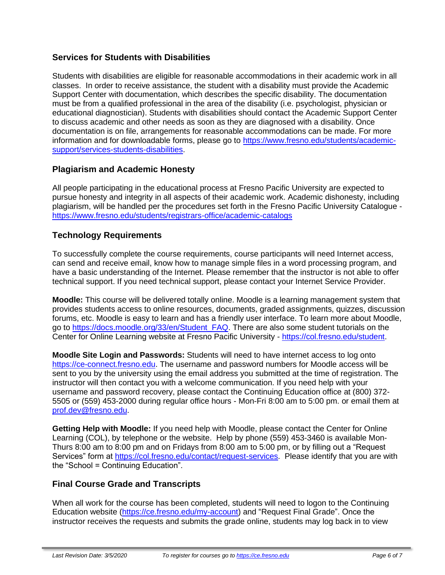# **Services for Students with Disabilities**

Students with disabilities are eligible for reasonable accommodations in their academic work in all classes. In order to receive assistance, the student with a disability must provide the Academic Support Center with documentation, which describes the specific disability. The documentation must be from a qualified professional in the area of the disability (i.e. psychologist, physician or educational diagnostician). Students with disabilities should contact the Academic Support Center to discuss academic and other needs as soon as they are diagnosed with a disability. Once documentation is on file, arrangements for reasonable accommodations can be made. For more information and for downloadable forms, please go to [https://www.fresno.edu/students/academic](https://www.fresno.edu/students/academic-support/services-students-disabilities)[support/services-students-disabilities.](https://www.fresno.edu/students/academic-support/services-students-disabilities)

# **Plagiarism and Academic Honesty**

All people participating in the educational process at Fresno Pacific University are expected to pursue honesty and integrity in all aspects of their academic work. Academic dishonesty, including plagiarism, will be handled per the procedures set forth in the Fresno Pacific University Catalogue <https://www.fresno.edu/students/registrars-office/academic-catalogs>

# **Technology Requirements**

To successfully complete the course requirements, course participants will need Internet access, can send and receive email, know how to manage simple files in a word processing program, and have a basic understanding of the Internet. Please remember that the instructor is not able to offer technical support. If you need technical support, please contact your Internet Service Provider.

**Moodle:** This course will be delivered totally online. Moodle is a learning management system that provides students access to online resources, documents, graded assignments, quizzes, discussion forums, etc. Moodle is easy to learn and has a friendly user interface. To learn more about Moodle, go to [https://docs.moodle.org/33/en/Student\\_FAQ.](https://docs.moodle.org/33/en/Student_FAQ) There are also some student tutorials on the Center for Online Learning website at Fresno Pacific University - [https://col.fresno.edu/student.](https://col.fresno.edu/student)

**Moodle Site Login and Passwords:** Students will need to have internet access to log onto [https://ce-connect.fresno.edu.](https://ce-connect.fresno.edu/) The username and password numbers for Moodle access will be sent to you by the university using the email address you submitted at the time of registration. The instructor will then contact you with a welcome communication. If you need help with your username and password recovery, please contact the Continuing Education office at (800) 372- 5505 or (559) 453-2000 during regular office hours - Mon-Fri 8:00 am to 5:00 pm. or email them at [prof.dev@fresno.edu.](mailto:prof.dev@fresno.edu)

**Getting Help with Moodle:** If you need help with Moodle, please contact the Center for Online Learning (COL), by telephone or the website. Help by phone (559) 453-3460 is available Mon-Thurs 8:00 am to 8:00 pm and on Fridays from 8:00 am to 5:00 pm, or by filling out a "Request Services" form at [https://col.fresno.edu/contact/request-services.](https://col.fresno.edu/contact/request-services) Please identify that you are with the "School = Continuing Education".

# **Final Course Grade and Transcripts**

When all work for the course has been completed, students will need to logon to the Continuing Education website [\(https://ce.fresno.edu/my-account\)](https://ce.fresno.edu/my-account) and "Request Final Grade". Once the instructor receives the requests and submits the grade online, students may log back in to view